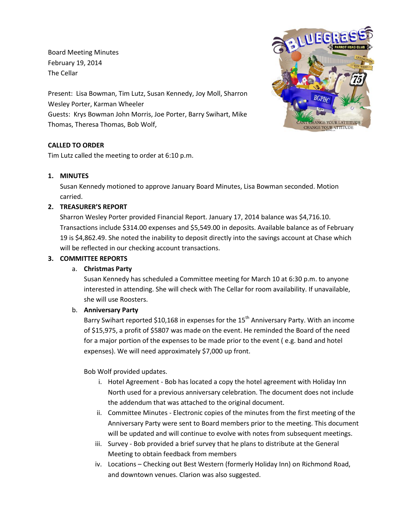Board Meeting Minutes February 19, 2014 The Cellar

Present: Lisa Bowman, Tim Lutz, Susan Kennedy, Joy Moll, Sharron Wesley Porter, Karman Wheeler Guests: Krys Bowman John Morris, Joe Porter, Barry Swihart, Mike Thomas, Theresa Thomas, Bob Wolf,

# **CALLED TO ORDER**

Tim Lutz called the meeting to order at 6:10 p.m.

#### **1. MINUTES**

Susan Kennedy motioned to approve January Board Minutes, Lisa Bowman seconded. Motion carried.

#### **2. TREASURER'S REPORT**

Sharron Wesley Porter provided Financial Report. January 17, 2014 balance was \$4,716.10. Transactions include \$314.00 expenses and \$5,549.00 in deposits. Available balance as of February 19 is \$4,862.49. She noted the inability to deposit directly into the savings account at Chase which will be reflected in our checking account transactions.

#### **3. COMMITTEE REPORTS**

#### a. **Christmas Party**

Susan Kennedy has scheduled a Committee meeting for March 10 at 6:30 p.m. to anyone interested in attending. She will check with The Cellar for room availability. If unavailable, she will use Roosters.

#### b. **Anniversary Party**

Barry Swihart reported \$10,168 in expenses for the  $15<sup>th</sup>$  Anniversary Party. With an income of \$15,975, a profit of \$5807 was made on the event. He reminded the Board of the need for a major portion of the expenses to be made prior to the event ( e.g. band and hotel expenses). We will need approximately \$7,000 up front.

Bob Wolf provided updates.

- i. Hotel Agreement Bob has located a copy the hotel agreement with Holiday Inn North used for a previous anniversary celebration. The document does not include the addendum that was attached to the original document.
- ii. Committee Minutes Electronic copies of the minutes from the first meeting of the Anniversary Party were sent to Board members prior to the meeting. This document will be updated and will continue to evolve with notes from subsequent meetings.
- iii. Survey Bob provided a brief survey that he plans to distribute at the General Meeting to obtain feedback from members
- iv. Locations Checking out Best Western (formerly Holiday Inn) on Richmond Road, and downtown venues. Clarion was also suggested.

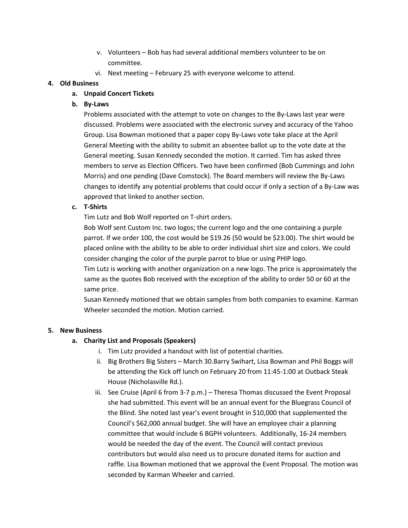- v. Volunteers Bob has had several additional members volunteer to be on committee.
- vi. Next meeting February 25 with everyone welcome to attend.

### **4. Old Business**

## **a. Unpaid Concert Tickets**

## **b. By-Laws**

Problems associated with the attempt to vote on changes to the By-Laws last year were discussed. Problems were associated with the electronic survey and accuracy of the Yahoo Group. Lisa Bowman motioned that a paper copy By-Laws vote take place at the April General Meeting with the ability to submit an absentee ballot up to the vote date at the General meeting. Susan Kennedy seconded the motion. It carried. Tim has asked three members to serve as Election Officers. Two have been confirmed (Bob Cummings and John Morris) and one pending (Dave Comstock). The Board members will review the By-Laws changes to identify any potential problems that could occur if only a section of a By-Law was approved that linked to another section.

### **c. T-Shirts**

Tim Lutz and Bob Wolf reported on T-shirt orders.

Bob Wolf sent Custom Inc. two logos; the current logo and the one containing a purple parrot. If we order 100, the cost would be \$19.26 (50 would be \$23.00). The shirt would be placed online with the ability to be able to order individual shirt size and colors. We could consider changing the color of the purple parrot to blue or using PHIP logo.

Tim Lutz is working with another organization on a new logo. The price is approximately the same as the quotes Bob received with the exception of the ability to order 50 or 60 at the same price.

Susan Kennedy motioned that we obtain samples from both companies to examine. Karman Wheeler seconded the motion. Motion carried.

#### **5. New Business**

# **a. Charity List and Proposals (Speakers)**

- i. Tim Lutz provided a handout with list of potential charities.
- ii. Big Brothers Big Sisters March 30.Barry Swihart, Lisa Bowman and Phil Boggs will be attending the Kick off lunch on February 20 from 11:45-1:00 at Outback Steak House (Nicholasville Rd.).
- iii. See Cruise (April 6 from 3-7 p.m.) Theresa Thomas discussed the Event Proposal she had submitted. This event will be an annual event for the Bluegrass Council of the Blind. She noted last year's event brought in \$10,000 that supplemented the Council's \$62,000 annual budget. She will have an employee chair a planning committee that would include 6 BGPH volunteers. Additionally, 16-24 members would be needed the day of the event. The Council will contact previous contributors but would also need us to procure donated items for auction and raffle. Lisa Bowman motioned that we approval the Event Proposal. The motion was seconded by Karman Wheeler and carried.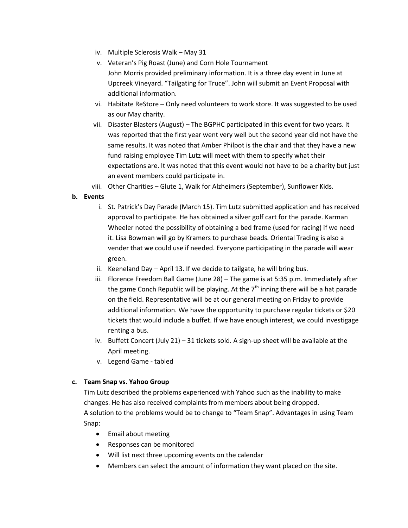- iv. Multiple Sclerosis Walk May 31
- v. Veteran's Pig Roast (June) and Corn Hole Tournament John Morris provided preliminary information. It is a three day event in June at Upcreek Vineyard. "Tailgating for Truce". John will submit an Event Proposal with additional information.
- vi. Habitate ReStore Only need volunteers to work store. It was suggested to be used as our May charity.
- vii. Disaster Blasters (August) The BGPHC participated in this event for two years. It was reported that the first year went very well but the second year did not have the same results. It was noted that Amber Philpot is the chair and that they have a new fund raising employee Tim Lutz will meet with them to specify what their expectations are. It was noted that this event would not have to be a charity but just an event members could participate in.
- viii. Other Charities Glute 1, Walk for Alzheimers (September), Sunflower Kids.

# **b. Events**

- i. St. Patrick's Day Parade (March 15). Tim Lutz submitted application and has received approval to participate. He has obtained a silver golf cart for the parade. Karman Wheeler noted the possibility of obtaining a bed frame (used for racing) if we need it. Lisa Bowman will go by Kramers to purchase beads. Oriental Trading is also a vender that we could use if needed. Everyone participating in the parade will wear green.
- ii. Keeneland Day April 13. If we decide to tailgate, he will bring bus.
- iii. Florence Freedom Ball Game (June 28) The game is at 5:35 p.m. Immediately after the game Conch Republic will be playing. At the  $7<sup>th</sup>$  inning there will be a hat parade on the field. Representative will be at our general meeting on Friday to provide additional information. We have the opportunity to purchase regular tickets or \$20 tickets that would include a buffet. If we have enough interest, we could investigage renting a bus.
- iv. Buffett Concert (July 21) 31 tickets sold. A sign-up sheet will be available at the April meeting.
- v. Legend Game tabled

#### **c. Team Snap vs. Yahoo Group**

Tim Lutz described the problems experienced with Yahoo such as the inability to make changes. He has also received complaints from members about being dropped. A solution to the problems would be to change to "Team Snap". Advantages in using Team Snap:

- Email about meeting
- Responses can be monitored
- Will list next three upcoming events on the calendar
- Members can select the amount of information they want placed on the site.